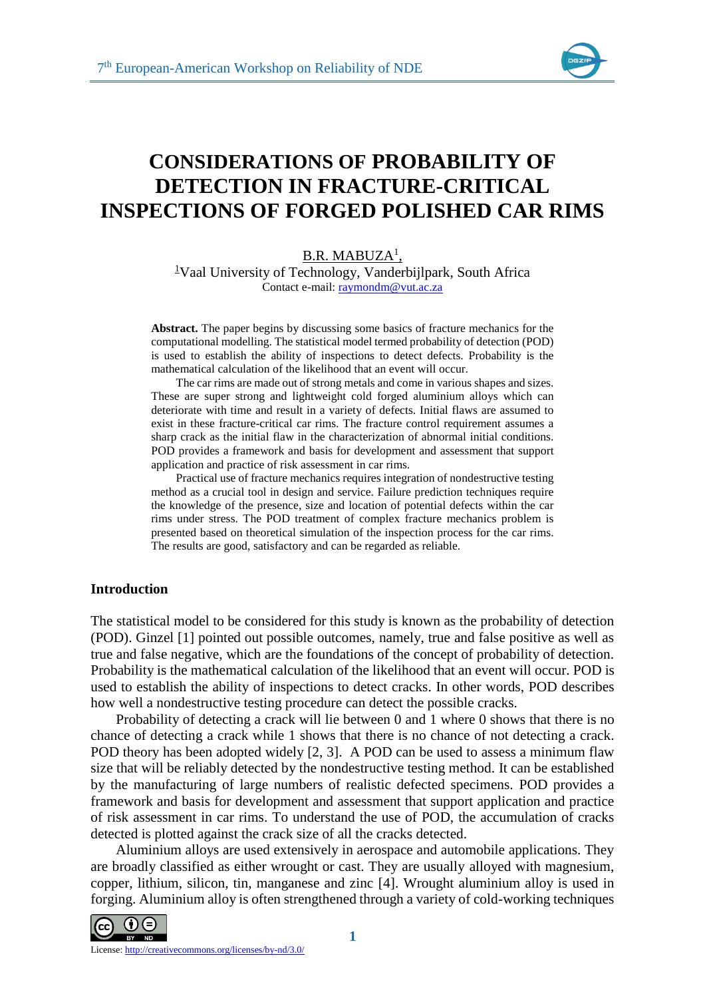

# **CONSIDERATIONS OF PROBABILITY OF DETECTION IN FRACTURE-CRITICAL INSPECTIONS OF FORGED POLISHED CAR RIMS**

## <u>B.R. MABUZA<sup>1</sup>,</u>

<sup>1</sup>Vaal University of Technology, Vanderbijlpark, South Africa Contact e-mail: [raymondm@vut.ac.za](mailto:raymondm@vut.ac.za)

**Abstract.** The paper begins by discussing some basics of fracture mechanics for the computational modelling. The statistical model termed probability of detection (POD) is used to establish the ability of inspections to detect defects. Probability is the mathematical calculation of the likelihood that an event will occur.

The car rims are made out of strong metals and come in various shapes and sizes. These are super strong and lightweight cold forged aluminium alloys which can deteriorate with time and result in a variety of defects. Initial flaws are assumed to exist in these fracture-critical car rims. The fracture control requirement assumes a sharp crack as the initial flaw in the characterization of abnormal initial conditions. POD provides a framework and basis for development and assessment that support application and practice of risk assessment in car rims.

Practical use of fracture mechanics requires integration of nondestructive testing method as a crucial tool in design and service. Failure prediction techniques require the knowledge of the presence, size and location of potential defects within the car rims under stress. The POD treatment of complex fracture mechanics problem is presented based on theoretical simulation of the inspection process for the car rims. The results are good, satisfactory and can be regarded as reliable.

## **Introduction**

The statistical model to be considered for this study is known as the probability of detection (POD). Ginzel [1] pointed out possible outcomes, namely, true and false positive as well as true and false negative, which are the foundations of the concept of probability of detection. Probability is the mathematical calculation of the likelihood that an event will occur. POD is used to establish the ability of inspections to detect cracks. In other words, POD describes how well a nondestructive testing procedure can detect the possible cracks.

Probability of detecting a crack will lie between 0 and 1 where 0 shows that there is no chance of detecting a crack while 1 shows that there is no chance of not detecting a crack. POD theory has been adopted widely [2, 3]. A POD can be used to assess a minimum flaw size that will be reliably detected by the nondestructive testing method. It can be established by the manufacturing of large numbers of realistic defected specimens. POD provides a framework and basis for development and assessment that support application and practice of risk assessment in car rims. To understand the use of POD, the accumulation of cracks detected is plotted against the crack size of all the cracks detected.

Aluminium alloys are used extensively in aerospace and automobile applications. They are broadly classified as either wrought or cast. They are usually alloyed with magnesium, copper, lithium, silicon, tin, manganese and zinc [4]. Wrought aluminium alloy is used in forging. Aluminium alloy is often strengthened through a variety of cold-working techniques

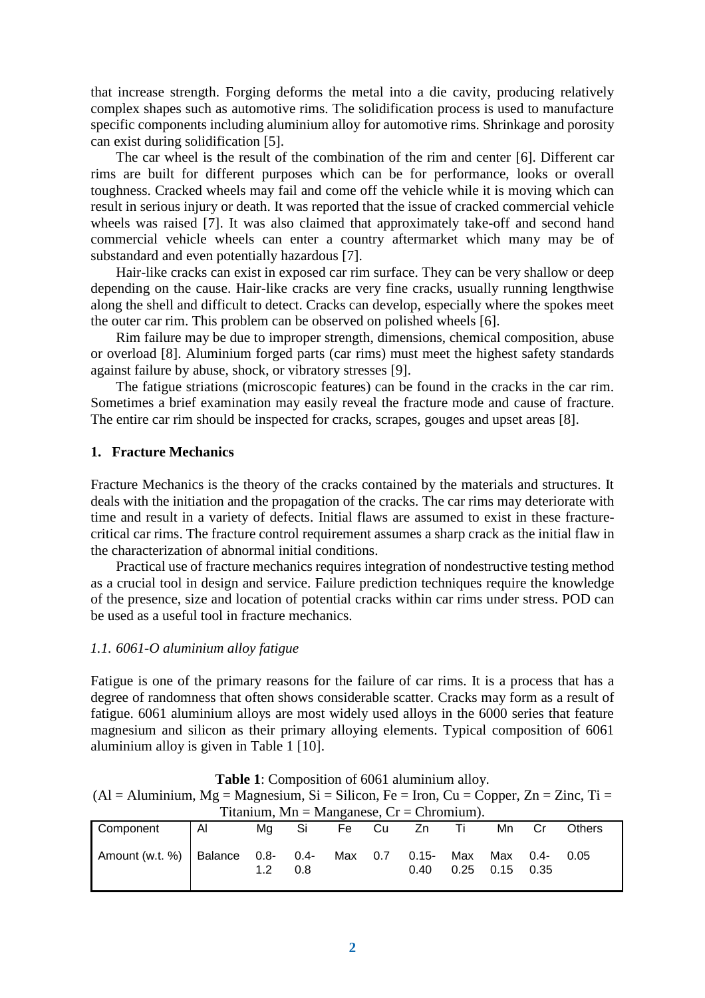that increase strength. Forging deforms the metal into a die cavity, producing relatively complex shapes such as automotive rims. The solidification process is used to manufacture specific components including aluminium alloy for automotive rims. Shrinkage and porosity can exist during solidification [5].

The car wheel is the result of the combination of the rim and center [6]. Different car rims are built for different purposes which can be for performance, looks or overall toughness. Cracked wheels may fail and come off the vehicle while it is moving which can result in serious injury or death. It was reported that the issue of cracked commercial vehicle wheels was raised [7]. It was also claimed that approximately take-off and second hand commercial vehicle wheels can enter a country aftermarket which many may be of substandard and even potentially hazardous [7].

Hair-like cracks can exist in exposed car rim surface. They can be very shallow or deep depending on the cause. Hair-like cracks are very fine cracks, usually running lengthwise along the shell and difficult to detect. Cracks can develop, especially where the spokes meet the outer car rim. This problem can be observed on polished wheels [6].

Rim failure may be due to improper strength, dimensions, chemical composition, abuse or overload [8]. Aluminium forged parts (car rims) must meet the highest safety standards against failure by abuse, shock, or vibratory stresses [9].

The fatigue striations (microscopic features) can be found in the cracks in the car rim. Sometimes a brief examination may easily reveal the fracture mode and cause of fracture. The entire car rim should be inspected for cracks, scrapes, gouges and upset areas [8].

## **1. Fracture Mechanics**

Fracture Mechanics is the theory of the cracks contained by the materials and structures. It deals with the initiation and the propagation of the cracks. The car rims may deteriorate with time and result in a variety of defects. Initial flaws are assumed to exist in these fracturecritical car rims. The fracture control requirement assumes a sharp crack as the initial flaw in the characterization of abnormal initial conditions.

Practical use of fracture mechanics requires integration of nondestructive testing method as a crucial tool in design and service. Failure prediction techniques require the knowledge of the presence, size and location of potential cracks within car rims under stress. POD can be used as a useful tool in fracture mechanics.

## *1.1. 6061-O aluminium alloy fatigue*

Fatigue is one of the primary reasons for the failure of car rims. It is a process that has a degree of randomness that often shows considerable scatter. Cracks may form as a result of fatigue. 6061 aluminium alloys are most widely used alloys in the 6000 series that feature magnesium and silicon as their primary alloying elements. Typical composition of 6061 aluminium alloy is given in Table 1 [10].

| $(A)$ = Aluminium, Mg = Magnesium, Si = Silicon, Fe = Iron, Cu = Copper, Zn = Zinc, Ti = |                |    |       |  |         |                  |             |                         |               |
|------------------------------------------------------------------------------------------|----------------|----|-------|--|---------|------------------|-------------|-------------------------|---------------|
| Titanium, Mn = Manganese, $Cr =$ Chromium).                                              |                |    |       |  |         |                  |             |                         |               |
| Component                                                                                | $\overline{A}$ |    | Mg Si |  |         | Fe Cu Zn Ti      |             | Mn                      | <b>Others</b> |
| Amount (w.t. %)   Balance $0.8 - 0.4 -$                                                  |                | 12 | 0.8   |  | Max 0.7 | $0.15 -$<br>0.40 | Max<br>0.25 | Max 0.4-<br>$0.15$ 0.35 | 0.05          |

**Table 1**: Composition of 6061 aluminium alloy.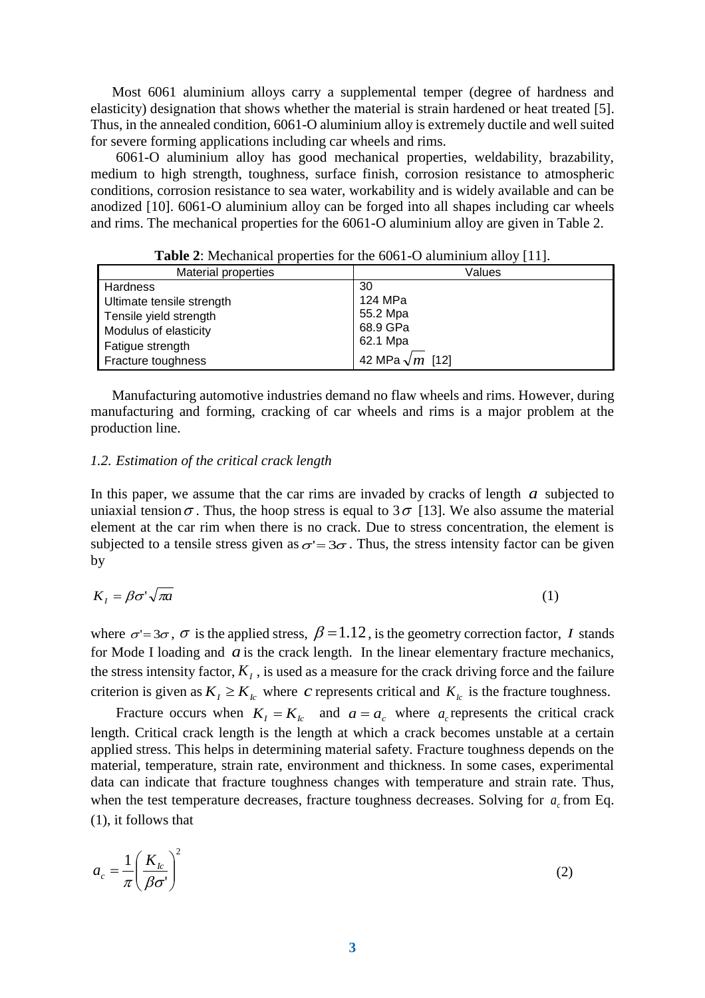Most 6061 aluminium alloys carry a supplemental temper (degree of hardness and elasticity) designation that shows whether the material is strain hardened or heat treated [5]. Thus, in the annealed condition, 6061-O aluminium alloy is extremely ductile and well suited for severe forming applications including car wheels and rims.

6061-O aluminium alloy has good mechanical properties, weldability, brazability, medium to high strength, toughness, surface finish, corrosion resistance to atmospheric conditions, corrosion resistance to sea water, workability and is widely available and can be anodized [10]. 6061-O aluminium alloy can be forged into all shapes including car wheels and rims. The mechanical properties for the 6061-O aluminium alloy are given in Table 2.

| $- - -  -  -$              |                        |  |  |  |
|----------------------------|------------------------|--|--|--|
| <b>Material properties</b> | Values                 |  |  |  |
| Hardness                   | 30                     |  |  |  |
| Ultimate tensile strength  | 124 MPa                |  |  |  |
| Tensile yield strength     | 55.2 Mpa               |  |  |  |
| Modulus of elasticity      | 68.9 GPa               |  |  |  |
| Fatigue strength           | 62.1 Mpa               |  |  |  |
| Fracture toughness         | 42 MPa $\sqrt{m}$ [12] |  |  |  |

**Table 2**: Mechanical properties for the 6061-O aluminium alloy [11].

Manufacturing automotive industries demand no flaw wheels and rims. However, during manufacturing and forming, cracking of car wheels and rims is a major problem at the production line.

#### *1.2. Estimation of the critical crack length*

In this paper, we assume that the car rims are invaded by cracks of length  $a$  subjected to uniaxial tension  $\sigma$ . Thus, the hoop stress is equal to 3  $\sigma$  [13]. We also assume the material element at the car rim when there is no crack. Due to stress concentration, the element is subjected to a tensile stress given as  $\sigma' = 3\sigma$ . Thus, the stress intensity factor can be given by

$$
K_I = \beta \sigma^2 \sqrt{\pi a} \tag{1}
$$

where  $\sigma = 3\sigma$ ,  $\sigma$  is the applied stress,  $\beta = 1.12$ , is the geometry correction factor, *I* stands for Mode I loading and  $a$  is the crack length. In the linear elementary fracture mechanics, the stress intensity factor,  $K_I$ , is used as a measure for the crack driving force and the failure criterion is given as  $K_I \geq K_{Ic}$  where *c* represents critical and  $K_{Ic}$  is the fracture toughness.

Fracture occurs when  $K_I = K_{Ic}$  and  $a = a_c$  where  $a_c$  represents the critical crack length. Critical crack length is the length at which a crack becomes unstable at a certain applied stress. This helps in determining material safety. Fracture toughness depends on the material, temperature, strain rate, environment and thickness. In some cases, experimental data can indicate that fracture toughness changes with temperature and strain rate. Thus, when the test temperature decreases, fracture toughness decreases. Solving for  $a_c$  from Eq. (1), it follows that

$$
a_c = \frac{1}{\pi} \left( \frac{K_{lc}}{\beta \sigma'} \right)^2 \tag{2}
$$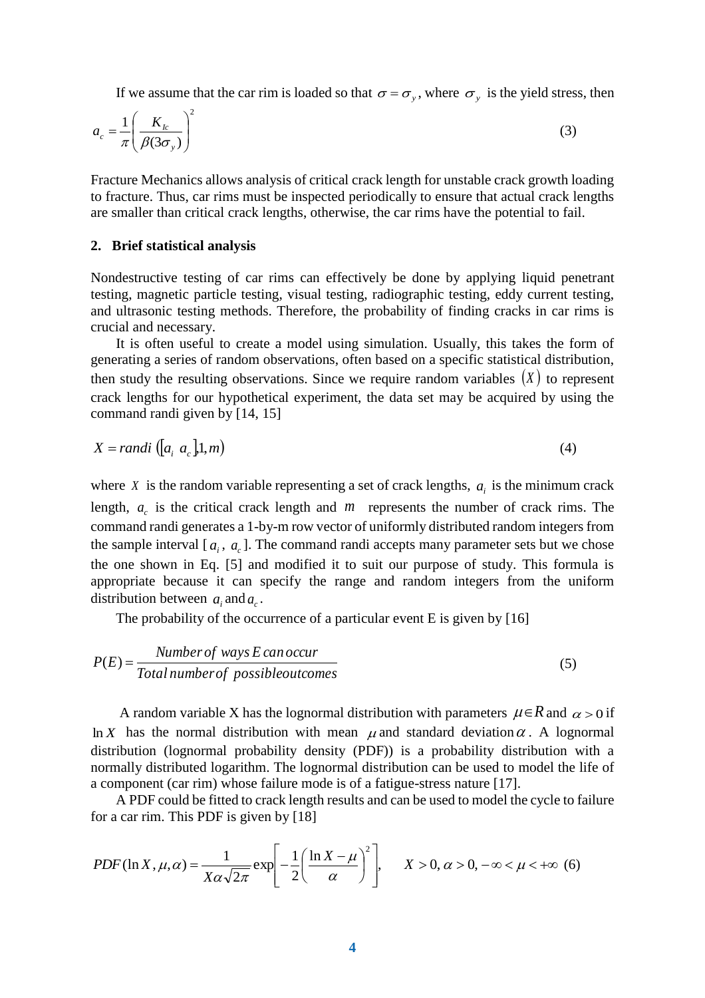If we assume that the car rim is loaded so that  $\sigma = \sigma_y$ , where  $\sigma_y$  is the yield stress, then

$$
a_c = \frac{1}{\pi} \left( \frac{K_{lc}}{\beta(3\sigma_y)} \right)^2 \tag{3}
$$

Fracture Mechanics allows analysis of critical crack length for unstable crack growth loading to fracture. Thus, car rims must be inspected periodically to ensure that actual crack lengths are smaller than critical crack lengths, otherwise, the car rims have the potential to fail.

#### **2. Brief statistical analysis**

Nondestructive testing of car rims can effectively be done by applying liquid penetrant testing, magnetic particle testing, visual testing, radiographic testing, eddy current testing, and ultrasonic testing methods. Therefore, the probability of finding cracks in car rims is crucial and necessary.

It is often useful to create a model using simulation. Usually, this takes the form of generating a series of random observations, often based on a specific statistical distribution, then study the resulting observations. Since we require random variables  $(X)$  to represent crack lengths for our hypothetical experiment, the data set may be acquired by using the command randi given by [14, 15]

$$
X = randi \left( [a_i \ a_c], 1, m \right) \tag{4}
$$

where *X* is the random variable representing a set of crack lengths,  $a_i$  is the minimum crack length,  $a_c$  is the critical crack length and  $m$  represents the number of crack rims. The command randi generates a 1-by-m row vector of uniformly distributed random integers from the sample interval  $[a_i, a_c]$ . The command randi accepts many parameter sets but we chose the one shown in Eq. [5] and modified it to suit our purpose of study. This formula is appropriate because it can specify the range and random integers from the uniform distribution between  $a_i$  and  $a_c$ .

The probability of the occurrence of a particular event E is given by [16]

$$
P(E) = \frac{Number of ways E can occur}{Total number of possible outcomes}
$$
\n(5)

A random variable X has the lognormal distribution with parameters  $\mu \in R$  and  $\alpha > 0$  if ln *X* has the normal distribution with mean  $\mu$  and standard deviation  $\alpha$ . A lognormal distribution (lognormal probability density (PDF)) is a probability distribution with a normally distributed logarithm. The lognormal distribution can be used to model the life of a component (car rim) whose failure mode is of a fatigue-stress nature [17].

A PDF could be fitted to crack length results and can be used to model the cycle to failure for a car rim. This PDF is given by [18]

$$
PDF(\ln X, \mu, \alpha) = \frac{1}{X\alpha\sqrt{2\pi}} \exp\left[-\frac{1}{2}\left(\frac{\ln X - \mu}{\alpha}\right)^2\right], \quad X > 0, \alpha > 0, -\infty < \mu < +\infty \tag{6}
$$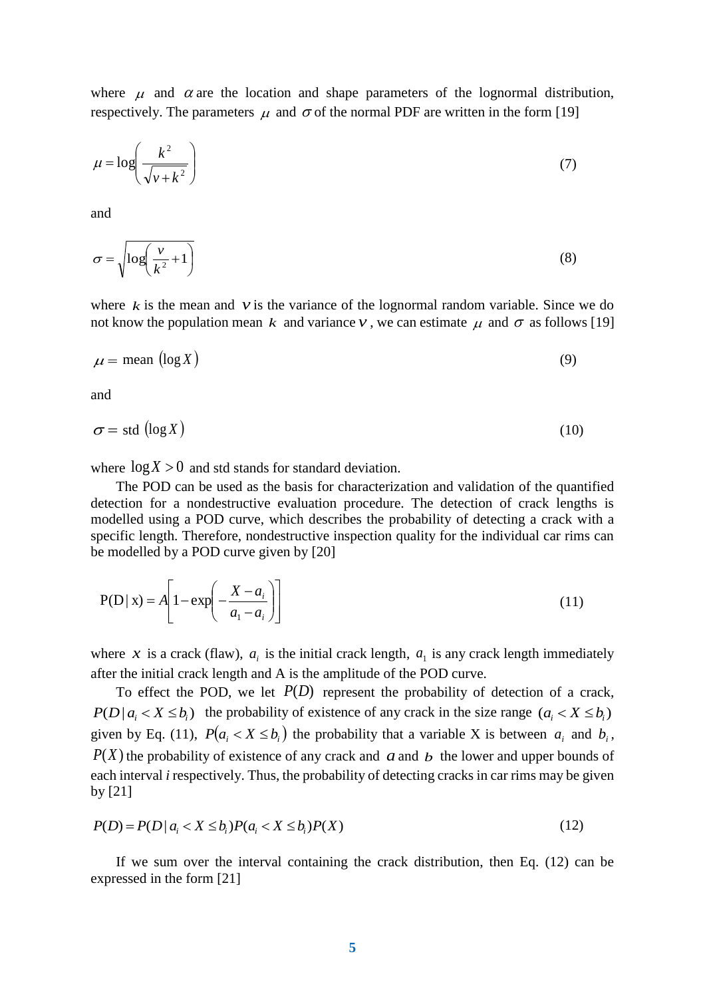where  $\mu$  and  $\alpha$  are the location and shape parameters of the lognormal distribution, respectively. The parameters  $\mu$  and  $\sigma$  of the normal PDF are written in the form [19]

$$
\mu = \log \left( \frac{k^2}{\sqrt{v + k^2}} \right) \tag{7}
$$

and

$$
\sigma = \sqrt{\log\left(\frac{v}{k^2} + 1\right)}\tag{8}
$$

where  $k$  is the mean and  $\nu$  is the variance of the lognormal random variable. Since we do not know the population mean  $k$  and variance  $\nu$ , we can estimate  $\mu$  and  $\sigma$  as follows [19]

$$
\mu = \text{mean} \left( \log X \right) \tag{9}
$$

and

$$
\sigma = \text{std}(\log X) \tag{10}
$$

where  $log X > 0$  and std stands for standard deviation.

The POD can be used as the basis for characterization and validation of the quantified detection for a nondestructive evaluation procedure. The detection of crack lengths is modelled using a POD curve, which describes the probability of detecting a crack with a specific length. Therefore, nondestructive inspection quality for the individual car rims can be modelled by a POD curve given by [20]

$$
P(D \mid x) = A \left[ 1 - \exp \left( -\frac{X - a_i}{a_1 - a_i} \right) \right]
$$
 (11)

where x is a crack (flaw),  $a_i$  is the initial crack length,  $a_i$  is any crack length immediately after the initial crack length and A is the amplitude of the POD curve.

To effect the POD, we let  $P(D)$  represent the probability of detection of a crack,  $P(D | a_i < X \leq b_i)$  the probability of existence of any crack in the size range  $(a_i < X \leq b_i)$ given by Eq. (11),  $P(a_i < X \le b_i)$  the probability that a variable X is between  $a_i$  and  $b_i$ ,  $P(X)$  the probability of existence of any crack and  $a$  and  $b$  the lower and upper bounds of each interval *i* respectively. Thus, the probability of detecting cracks in car rims may be given by [21]

$$
P(D) = P(D \mid a_i < X \le b_i) P(a_i < X \le b_i) P(X) \tag{12}
$$

If we sum over the interval containing the crack distribution, then Eq. (12) can be expressed in the form [21]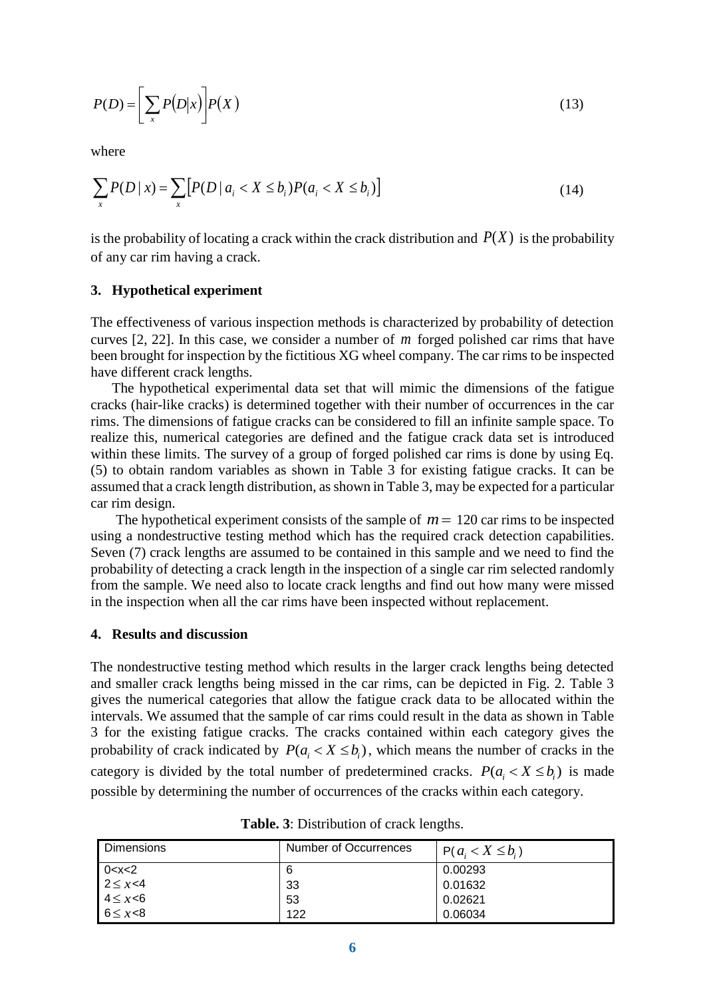$$
P(D) = \left[\sum_{x} P(D|x)\right] P(X) \tag{13}
$$

where

$$
\sum_{x} P(D \mid x) = \sum_{x} \left[ P(D \mid a_i < X \le b_i) P(a_i < X \le b_i) \right] \tag{14}
$$

is the probability of locating a crack within the crack distribution and  $P(X)$  is the probability of any car rim having a crack.

## **3. Hypothetical experiment**

The effectiveness of various inspection methods is characterized by probability of detection curves [2, 22]. In this case, we consider a number of *m* forged polished car rims that have been brought for inspection by the fictitious XG wheel company. The car rims to be inspected have different crack lengths.

The hypothetical experimental data set that will mimic the dimensions of the fatigue cracks (hair-like cracks) is determined together with their number of occurrences in the car rims. The dimensions of fatigue cracks can be considered to fill an infinite sample space. To realize this, numerical categories are defined and the fatigue crack data set is introduced within these limits. The survey of a group of forged polished car rims is done by using Eq. (5) to obtain random variables as shown in Table 3 for existing fatigue cracks. It can be assumed that a crack length distribution, as shown in Table 3, may be expected for a particular car rim design.

The hypothetical experiment consists of the sample of  $m = 120$  car rims to be inspected using a nondestructive testing method which has the required crack detection capabilities. Seven (7) crack lengths are assumed to be contained in this sample and we need to find the probability of detecting a crack length in the inspection of a single car rim selected randomly from the sample. We need also to locate crack lengths and find out how many were missed in the inspection when all the car rims have been inspected without replacement.

## **4. Results and discussion**

The nondestructive testing method which results in the larger crack lengths being detected and smaller crack lengths being missed in the car rims, can be depicted in Fig. 2. Table 3 gives the numerical categories that allow the fatigue crack data to be allocated within the intervals. We assumed that the sample of car rims could result in the data as shown in Table 3 for the existing fatigue cracks. The cracks contained within each category gives the probability of crack indicated by  $P(a_i < X \le b_i)$ , which means the number of cracks in the category is divided by the total number of predetermined cracks.  $P(a_i < X \le b_i)$  is made possible by determining the number of occurrences of the cracks within each category.

| <b>Dimensions</b>                                                  | Number of Occurrences | $P(a_i < X \leq b_i)$ |
|--------------------------------------------------------------------|-----------------------|-----------------------|
| $\begin{array}{r} 0 < x < 2 \\ 2 < x < 4 \end{array}$              | 6                     | 0.00293               |
|                                                                    | 33                    | 0.01632               |
| $\begin{array}{c} 1-x \\ 4 \leq x < 6 \\ 6 \leq x < 8 \end{array}$ | 53                    | 0.02621               |
|                                                                    | 122                   | 0.06034               |

**Table. 3**: Distribution of crack lengths.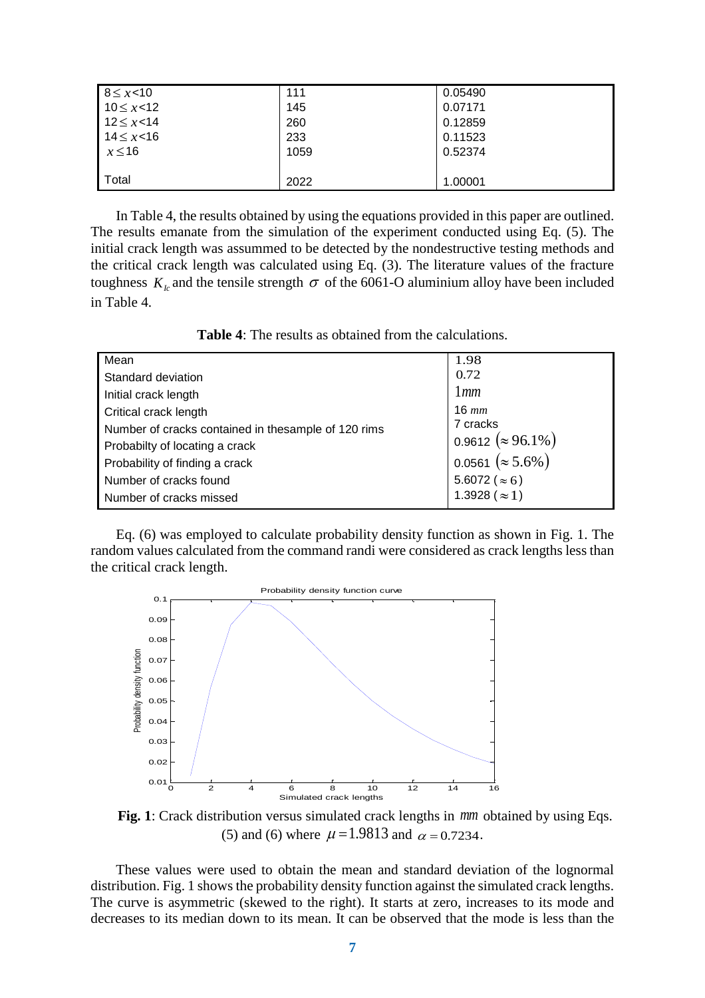| $8 \le x < 10$   | 111  | 0.05490 |
|------------------|------|---------|
| $10 \le x < 12$  | 145  | 0.07171 |
| $12 \leq x < 14$ | 260  | 0.12859 |
| $14 \leq x < 16$ | 233  | 0.11523 |
| $x \le 16$       | 1059 | 0.52374 |
|                  |      |         |
| Total            | 2022 | 1.00001 |

In Table 4, the results obtained by using the equations provided in this paper are outlined. The results emanate from the simulation of the experiment conducted using Eq. (5). The initial crack length was assummed to be detected by the nondestructive testing methods and the critical crack length was calculated using Eq. (3). The literature values of the fracture toughness  $K_k$  and the tensile strength  $\sigma$  of the 6061-O aluminium alloy have been included in Table 4.

**Table 4**: The results as obtained from the calculations.

| Mean                                                 | 1.98                      |  |  |
|------------------------------------------------------|---------------------------|--|--|
| Standard deviation                                   | 0.72                      |  |  |
| Initial crack length                                 | lmm                       |  |  |
| Critical crack length                                | $16 \; mm$                |  |  |
| Number of cracks contained in the sample of 120 rims | 7 cracks                  |  |  |
| Probabilty of locating a crack                       | 0.9612 ( $\approx$ 96.1%) |  |  |
| Probability of finding a crack                       | 0.0561 ( $\approx$ 5.6%)  |  |  |
| Number of cracks found                               | 5.6072 ( $\approx 6$ )    |  |  |
| Number of cracks missed                              | 1.3928 ( $\approx$ 1)     |  |  |
|                                                      |                           |  |  |

Eq. (6) was employed to calculate probability density function as shown in Fig. 1. The random values calculated from the command randi were considered as crack lengths less than the critical crack length.



**Fig. 1**: Crack distribution versus simulated crack lengths in *mm* obtained by using Eqs. (5) and (6) where  $\mu = 1.9813$  and  $\alpha = 0.7234$ .

These values were used to obtain the mean and standard deviation of the lognormal distribution. Fig. 1 shows the probability density function against the simulated crack lengths. The curve is asymmetric (skewed to the right). It starts at zero, increases to its mode and decreases to its median down to its mean. It can be observed that the mode is less than the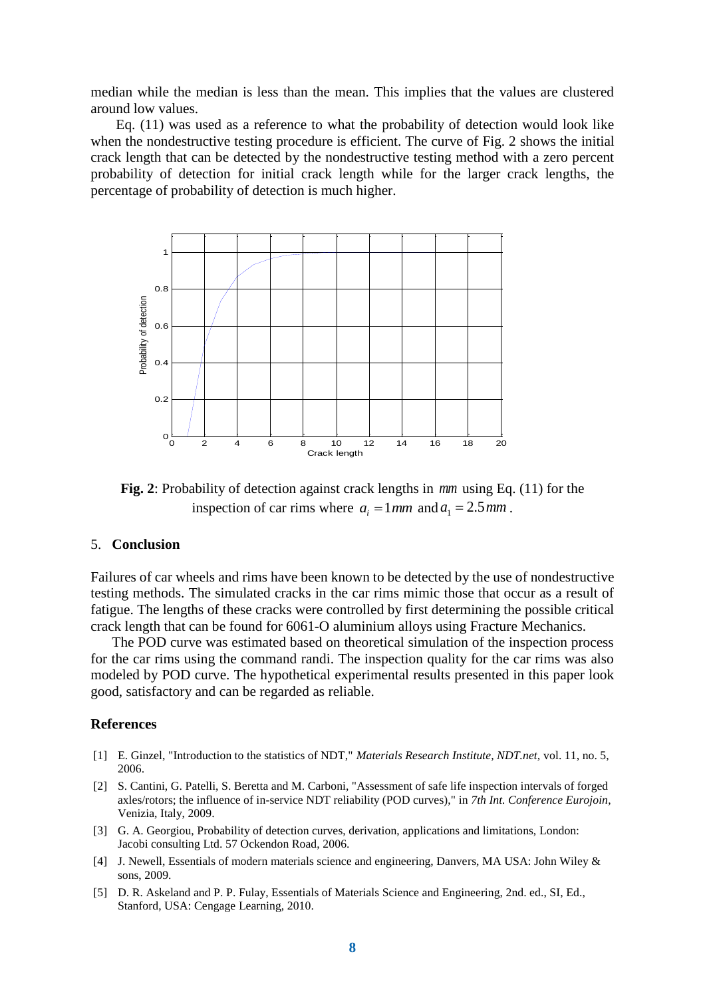median while the median is less than the mean. This implies that the values are clustered around low values.

Eq. (11) was used as a reference to what the probability of detection would look like when the nondestructive testing procedure is efficient. The curve of Fig. 2 shows the initial crack length that can be detected by the nondestructive testing method with a zero percent probability of detection for initial crack length while for the larger crack lengths, the percentage of probability of detection is much higher.



**Fig. 2**: Probability of detection against crack lengths in *mm* using Eq. (11) for the inspection of car rims where  $a_i = 1 \, \text{mm}$  and  $a_1 = 2.5 \, \text{mm}$ .

## 5. **Conclusion**

Failures of car wheels and rims have been known to be detected by the use of nondestructive testing methods. The simulated cracks in the car rims mimic those that occur as a result of fatigue. The lengths of these cracks were controlled by first determining the possible critical crack length that can be found for 6061-O aluminium alloys using Fracture Mechanics.

The POD curve was estimated based on theoretical simulation of the inspection process for the car rims using the command randi. The inspection quality for the car rims was also modeled by POD curve. The hypothetical experimental results presented in this paper look good, satisfactory and can be regarded as reliable.

## **References**

- [1] E. Ginzel, "Introduction to the statistics of NDT," *Materials Research Institute, NDT.net,* vol. 11, no. 5, 2006.
- [2] S. Cantini, G. Patelli, S. Beretta and M. Carboni, "Assessment of safe life inspection intervals of forged axles/rotors; the influence of in-service NDT reliability (POD curves)," in *7th Int. Conference Eurojoin*, Venizia, Italy, 2009.
- [3] G. A. Georgiou, Probability of detection curves, derivation, applications and limitations, London: Jacobi consulting Ltd. 57 Ockendon Road, 2006.
- [4] J. Newell, Essentials of modern materials science and engineering, Danvers, MA USA: John Wiley & sons, 2009.
- [5] D. R. Askeland and P. P. Fulay, Essentials of Materials Science and Engineering, 2nd. ed., SI, Ed., Stanford, USA: Cengage Learning, 2010.